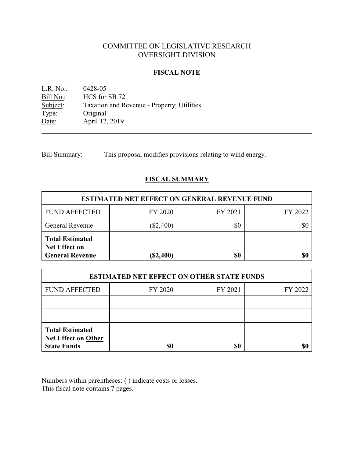# COMMITTEE ON LEGISLATIVE RESEARCH OVERSIGHT DIVISION

### **FISCAL NOTE**

<u>L.R. No.</u>: 0428-05<br>
<u>Bill No.</u>: HCS for Bill No.: HCS for SB 72<br>Subject: Taxation and Re Taxation and Revenue - Property; Utilities Type: Original Date: April 12, 2019

Bill Summary: This proposal modifies provisions relating to wind energy.

# **FISCAL SUMMARY**

| <b>ESTIMATED NET EFFECT ON GENERAL REVENUE FUND</b>                      |             |         |         |  |
|--------------------------------------------------------------------------|-------------|---------|---------|--|
| <b>FUND AFFECTED</b>                                                     | FY 2020     | FY 2021 | FY 2022 |  |
| <b>General Revenue</b>                                                   | $(\$2,400)$ | \$0     |         |  |
| <b>Total Estimated</b><br><b>Net Effect on</b><br><b>General Revenue</b> | (\$2,400)   | \$0     | \$0     |  |

| <b>ESTIMATED NET EFFECT ON OTHER STATE FUNDS</b>                           |         |         |         |  |
|----------------------------------------------------------------------------|---------|---------|---------|--|
| <b>FUND AFFECTED</b>                                                       | FY 2020 | FY 2021 | FY 2022 |  |
|                                                                            |         |         |         |  |
|                                                                            |         |         |         |  |
| <b>Total Estimated</b><br><b>Net Effect on Other</b><br><b>State Funds</b> | \$0     | \$0     | \$1     |  |

Numbers within parentheses: ( ) indicate costs or losses. This fiscal note contains 7 pages.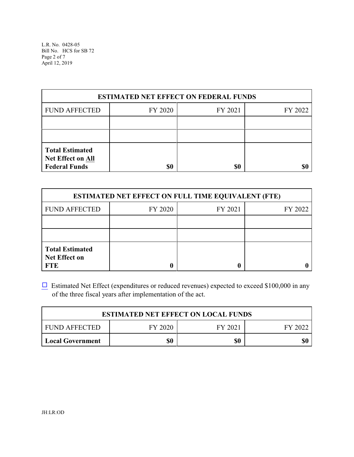L.R. No. 0428-05 Bill No. HCS for SB 72 Page 2 of 7 April 12, 2019

| <b>ESTIMATED NET EFFECT ON FEDERAL FUNDS</b>                               |         |         |         |  |
|----------------------------------------------------------------------------|---------|---------|---------|--|
| <b>FUND AFFECTED</b>                                                       | FY 2020 | FY 2021 | FY 2022 |  |
|                                                                            |         |         |         |  |
|                                                                            |         |         |         |  |
| <b>Total Estimated</b><br><b>Net Effect on All</b><br><b>Federal Funds</b> | \$0     | \$0     |         |  |

| <b>ESTIMATED NET EFFECT ON FULL TIME EQUIVALENT (FTE)</b>    |         |         |         |  |
|--------------------------------------------------------------|---------|---------|---------|--|
| <b>FUND AFFECTED</b>                                         | FY 2020 | FY 2021 | FY 2022 |  |
|                                                              |         |         |         |  |
|                                                              |         |         |         |  |
| <b>Total Estimated</b><br><b>Net Effect on</b><br><b>FTE</b> |         |         |         |  |

 $\Box$  Estimated Net Effect (expenditures or reduced revenues) expected to exceed \$100,000 in any of the three fiscal years after implementation of the act.

| <b>ESTIMATED NET EFFECT ON LOCAL FUNDS</b> |         |         |         |  |
|--------------------------------------------|---------|---------|---------|--|
| FUND AFFECTED                              | FY 2020 | FY 2021 | FY 2022 |  |
| Local Government                           | \$0     | \$0     |         |  |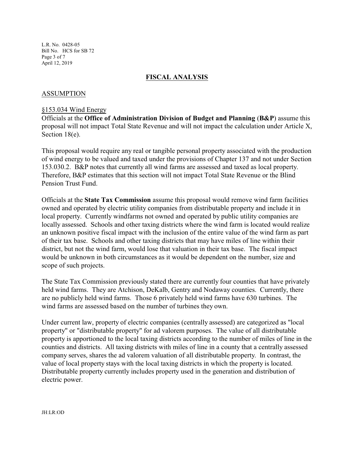L.R. No. 0428-05 Bill No. HCS for SB 72 Page 3 of 7 April 12, 2019

## **FISCAL ANALYSIS**

## ASSUMPTION

#### §153.034 Wind Energy

Officials at the **Office of Administration Division of Budget and Planning** (**B&P**) assume this proposal will not impact Total State Revenue and will not impact the calculation under Article X, Section 18(e).

This proposal would require any real or tangible personal property associated with the production of wind energy to be valued and taxed under the provisions of Chapter 137 and not under Section 153.030.2. B&P notes that currently all wind farms are assessed and taxed as local property. Therefore, B&P estimates that this section will not impact Total State Revenue or the Blind Pension Trust Fund.

Officials at the **State Tax Commission** assume this proposal would remove wind farm facilities owned and operated by electric utility companies from distributable property and include it in local property. Currently windfarms not owned and operated by public utility companies are locally assessed. Schools and other taxing districts where the wind farm is located would realize an unknown positive fiscal impact with the inclusion of the entire value of the wind farm as part of their tax base. Schools and other taxing districts that may have miles of line within their district, but not the wind farm, would lose that valuation in their tax base. The fiscal impact would be unknown in both circumstances as it would be dependent on the number, size and scope of such projects.

The State Tax Commission previously stated there are currently four counties that have privately held wind farms. They are Atchison, DeKalb, Gentry and Nodaway counties. Currently, there are no publicly held wind farms. Those 6 privately held wind farms have 630 turbines. The wind farms are assessed based on the number of turbines they own.

Under current law, property of electric companies (centrally assessed) are categorized as "local property" or "distributable property" for ad valorem purposes. The value of all distributable property is apportioned to the local taxing districts according to the number of miles of line in the counties and districts. All taxing districts with miles of line in a county that a centrally assessed company serves, shares the ad valorem valuation of all distributable property. In contrast, the value of local property stays with the local taxing districts in which the property is located. Distributable property currently includes property used in the generation and distribution of electric power.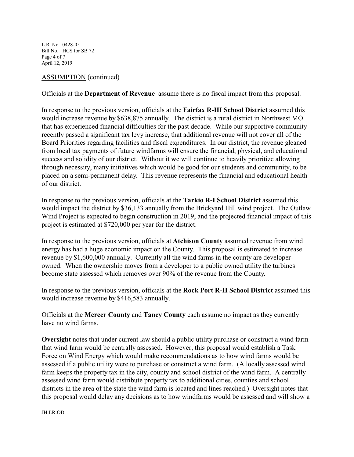L.R. No. 0428-05 Bill No. HCS for SB 72 Page 4 of 7 April 12, 2019

## ASSUMPTION (continued)

Officials at the **Department of Revenue** assume there is no fiscal impact from this proposal.

In response to the previous version, officials at the **Fairfax R-III School District** assumed this would increase revenue by \$638,875 annually. The district is a rural district in Northwest MO that has experienced financial difficulties for the past decade. While our supportive community recently passed a significant tax levy increase, that additional revenue will not cover all of the Board Priorities regarding facilities and fiscal expenditures. In our district, the revenue gleaned from local tax payments of future windfarms will ensure the financial, physical, and educational success and solidity of our district. Without it we will continue to heavily prioritize allowing through necessity, many initiatives which would be good for our students and community, to be placed on a semi-permanent delay. This revenue represents the financial and educational health of our district.

In response to the previous version, officials at the **Tarkio R-I School District** assumed this would impact the district by \$36,133 annually from the Brickyard Hill wind project. The Outlaw Wind Project is expected to begin construction in 2019, and the projected financial impact of this project is estimated at \$720,000 per year for the district.

In response to the previous version, officials at **Atchison County** assumed revenue from wind energy has had a huge economic impact on the County. This proposal is estimated to increase revenue by \$1,600,000 annually. Currently all the wind farms in the county are developerowned. When the ownership moves from a developer to a public owned utility the turbines become state assessed which removes over 90% of the revenue from the County.

In response to the previous version, officials at the **Rock Port R-II School District** assumed this would increase revenue by \$416,583 annually.

Officials at the **Mercer County** and **Taney County** each assume no impact as they currently have no wind farms.

**Oversight** notes that under current law should a public utility purchase or construct a wind farm that wind farm would be centrally assessed. However, this proposal would establish a Task Force on Wind Energy which would make recommendations as to how wind farms would be assessed if a public utility were to purchase or construct a wind farm. (A locally assessed wind farm keeps the property tax in the city, county and school district of the wind farm. A centrally assessed wind farm would distribute property tax to additional cities, counties and school districts in the area of the state the wind farm is located and lines reached.) Oversight notes that this proposal would delay any decisions as to how windfarms would be assessed and will show a

JH:LR:OD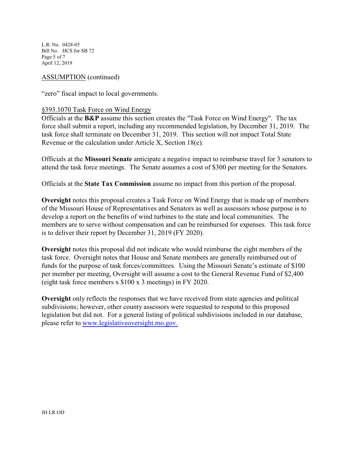L.R. No. 0428-05 Bill No. HCS for SB 72 Page 5 of 7 April 12, 2019

### ASSUMPTION (continued)

"zero" fiscal impact to local governments.

#### §393.1070 Task Force on Wind Energy

Officials at the **B&P** assume this section creates the "Task Force on Wind Energy". The tax force shall submit a report, including any recommended legislation, by December 31, 2019. The task force shall terminate on December 31, 2019. This section will not impact Total State Revenue or the calculation under Article X, Section 18(e).

Officials at the **Missouri Senate** anticipate a negative impact to reimburse travel for 3 senators to attend the task force meetings. The Senate assumes a cost of \$300 per meeting for the Senators.

Officials at the **State Tax Commission** assume no impact from this portion of the proposal.

**Oversight** notes this proposal creates a Task Force on Wind Energy that is made up of members of the Missouri House of Representatives and Senators as well as assessors whose purpose is to develop a report on the benefits of wind turbines to the state and local communities. The members are to serve without compensation and can be reimbursed for expenses. This task force is to deliver their report by December 31, 2019 (FY 2020).

**Oversight** notes this proposal did not indicate who would reimburse the eight members of the task force. Oversight notes that House and Senate members are generally reimbursed out of funds for the purpose of task forces/committees. Using the Missouri Senate's estimate of \$100 per member per meeting, Oversight will assume a cost to the General Revenue Fund of \$2,400 (eight task force members x \$100 x 3 meetings) in FY 2020.

**Oversight** only reflects the responses that we have received from state agencies and political subdivisions; however, other county assessors were requested to respond to this proposed legislation but did not. For a general listing of political subdivisions included in our database, please refer to [www.legislativeoversight.mo.gov.](http://www.legislativeoversight.mo.gov.)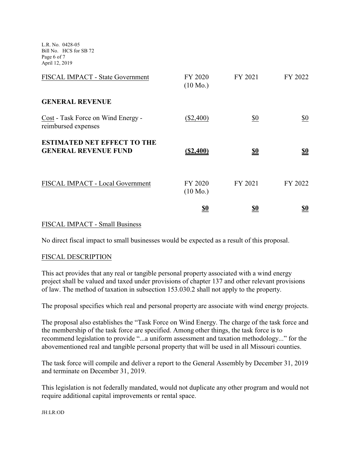L.R. No. 0428-05 Bill No. HCS for SB 72 Page 6 of 7 April 12, 2019

|                                                                   | <u>\$0</u>                    |            | <u>\$0</u> |
|-------------------------------------------------------------------|-------------------------------|------------|------------|
| FISCAL IMPACT - Local Government                                  | FY 2020<br>$(10 \text{ Mo.})$ | FY 2021    | FY 2022    |
| <b>ESTIMATED NET EFFECT TO THE</b><br><b>GENERAL REVENUE FUND</b> | (\$2,400)                     | <u>\$0</u> | <u>\$0</u> |
| Cost - Task Force on Wind Energy -<br>reimbursed expenses         | $(\$2,400)$                   | <u>\$0</u> | <u>\$0</u> |
| <b>GENERAL REVENUE</b>                                            |                               |            |            |
| FISCAL IMPACT - State Government                                  | FY 2020<br>$(10 \text{ Mo.})$ | FY 2021    | FY 2022    |
|                                                                   |                               |            |            |

# FISCAL IMPACT - Small Business

No direct fiscal impact to small businesses would be expected as a result of this proposal.

### FISCAL DESCRIPTION

This act provides that any real or tangible personal property associated with a wind energy project shall be valued and taxed under provisions of chapter 137 and other relevant provisions of law. The method of taxation in subsection 153.030.2 shall not apply to the property.

The proposal specifies which real and personal property are associate with wind energy projects.

The proposal also establishes the "Task Force on Wind Energy. The charge of the task force and the membership of the task force are specified. Among other things, the task force is to recommend legislation to provide "...a uniform assessment and taxation methodology..." for the abovementioned real and tangible personal property that will be used in all Missouri counties.

The task force will compile and deliver a report to the General Assembly by December 31, 2019 and terminate on December 31, 2019.

This legislation is not federally mandated, would not duplicate any other program and would not require additional capital improvements or rental space.

JH:LR:OD